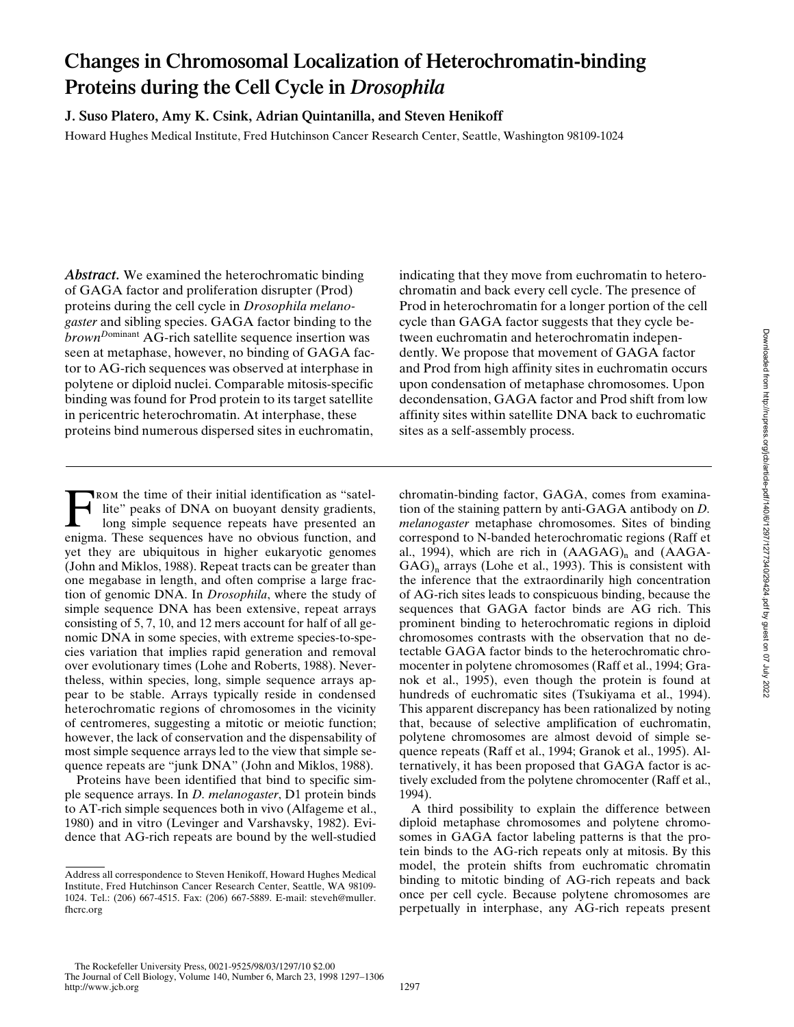# **Changes in Chromosomal Localization of Heterochromatin-binding Proteins during the Cell Cycle in** *Drosophila*

**J. Suso Platero, Amy K. Csink, Adrian Quintanilla, and Steven Henikoff**

Howard Hughes Medical Institute, Fred Hutchinson Cancer Research Center, Seattle, Washington 98109-1024

*Abstract.* We examined the heterochromatic binding of GAGA factor and proliferation disrupter (Prod) proteins during the cell cycle in *Drosophila melanogaster* and sibling species. GAGA factor binding to the *brown*<sup>Dominant</sup> AG-rich satellite sequence insertion was seen at metaphase, however, no binding of GAGA factor to AG-rich sequences was observed at interphase in polytene or diploid nuclei. Comparable mitosis-specific binding was found for Prod protein to its target satellite in pericentric heterochromatin. At interphase, these proteins bind numerous dispersed sites in euchromatin,

**FROM** the time of their initial identification as "satellite" peaks of DNA on buoyant density gradients,<br>long simple sequence repeats have presented an<br>enigma These sequences have no obvious function and lite" peaks of DNA on buoyant density gradients, long simple sequence repeats have presented an enigma. These sequences have no obvious function, and yet they are ubiquitous in higher eukaryotic genomes (John and Miklos, 1988). Repeat tracts can be greater than one megabase in length, and often comprise a large fraction of genomic DNA. In *Drosophila*, where the study of simple sequence DNA has been extensive, repeat arrays consisting of 5, 7, 10, and 12 mers account for half of all genomic DNA in some species, with extreme species-to-species variation that implies rapid generation and removal over evolutionary times (Lohe and Roberts, 1988). Nevertheless, within species, long, simple sequence arrays appear to be stable. Arrays typically reside in condensed heterochromatic regions of chromosomes in the vicinity of centromeres, suggesting a mitotic or meiotic function; however, the lack of conservation and the dispensability of most simple sequence arrays led to the view that simple sequence repeats are "junk DNA" (John and Miklos, 1988).

Proteins have been identified that bind to specific simple sequence arrays. In *D. melanogaster*, D1 protein binds to AT-rich simple sequences both in vivo (Alfageme et al., 1980) and in vitro (Levinger and Varshavsky, 1982). Evidence that AG-rich repeats are bound by the well-studied indicating that they move from euchromatin to heterochromatin and back every cell cycle. The presence of Prod in heterochromatin for a longer portion of the cell cycle than GAGA factor suggests that they cycle between euchromatin and heterochromatin independently. We propose that movement of GAGA factor and Prod from high affinity sites in euchromatin occurs upon condensation of metaphase chromosomes. Upon decondensation, GAGA factor and Prod shift from low affinity sites within satellite DNA back to euchromatic sites as a self-assembly process.

chromatin-binding factor, GAGA, comes from examination of the staining pattern by anti-GAGA antibody on *D. melanogaster* metaphase chromosomes. Sites of binding correspond to N-banded heterochromatic regions (Raff et al., 1994), which are rich in  $(AAGAG)_{n}$  and  $(AAGA GAG$ <sub>n</sub> arrays (Lohe et al., 1993). This is consistent with the inference that the extraordinarily high concentration of AG-rich sites leads to conspicuous binding, because the sequences that GAGA factor binds are AG rich. This prominent binding to heterochromatic regions in diploid chromosomes contrasts with the observation that no detectable GAGA factor binds to the heterochromatic chromocenter in polytene chromosomes (Raff et al., 1994; Granok et al., 1995), even though the protein is found at hundreds of euchromatic sites (Tsukiyama et al., 1994). This apparent discrepancy has been rationalized by noting that, because of selective amplification of euchromatin, polytene chromosomes are almost devoid of simple sequence repeats (Raff et al., 1994; Granok et al., 1995). Alternatively, it has been proposed that GAGA factor is actively excluded from the polytene chromocenter (Raff et al., 1994).

A third possibility to explain the difference between diploid metaphase chromosomes and polytene chromosomes in GAGA factor labeling patterns is that the protein binds to the AG-rich repeats only at mitosis. By this model, the protein shifts from euchromatic chromatin binding to mitotic binding of AG-rich repeats and back once per cell cycle. Because polytene chromosomes are perpetually in interphase, any AG-rich repeats present

Address all correspondence to Steven Henikoff, Howard Hughes Medical Institute, Fred Hutchinson Cancer Research Center, Seattle, WA 98109- 1024. Tel.: (206) 667-4515. Fax: (206) 667-5889. E-mail: steveh@muller. fhcrc.org

The Rockefeller University Press, 0021-9525/98/03/1297/10 \$2.00 The Journal of Cell Biology, Volume 140, Number 6, March 23, 1998 1297–1306 http://www.jcb.org 1297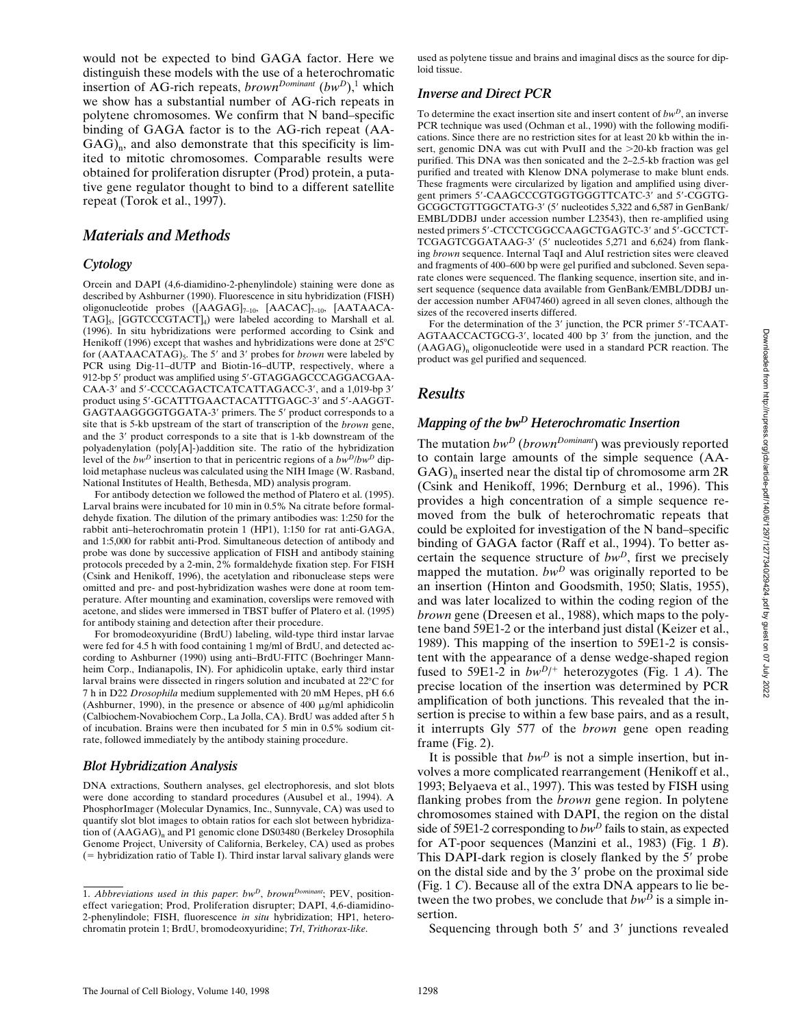would not be expected to bind GAGA factor. Here we distinguish these models with the use of a heterochromatic insertion of AG-rich repeats, *brown<sup>Dominant</sup>* (*bw<sup>D</sup>*),<sup>1</sup> which we show has a substantial number of AG-rich repeats in polytene chromosomes. We confirm that N band–specific binding of GAGA factor is to the AG-rich repeat (AA- $GAG<sub>n</sub>$ , and also demonstrate that this specificity is limited to mitotic chromosomes. Comparable results were obtained for proliferation disrupter (Prod) protein, a putative gene regulator thought to bind to a different satellite repeat (Torok et al., 1997).

## *Materials and Methods*

#### *Cytology*

Orcein and DAPI (4,6-diamidino-2-phenylindole) staining were done as described by Ashburner (1990). Fluorescence in situ hybridization (FISH) oligonucleotide probes  $([AAGAG]_{7-10}$ ,  $[AACAC]_{7-10}$ ,  $[AATAACA-$ TAG]5, [GGTCCCGTACT]4) were labeled according to Marshall et al. (1996). In situ hybridizations were performed according to Csink and Henikoff (1996) except that washes and hybridizations were done at  $25^{\circ}$ C for (AATAACATAG)<sub>5</sub>. The 5' and 3' probes for *brown* were labeled by PCR using Dig-11–dUTP and Biotin-16–dUTP, respectively, where a 912-bp 5' product was amplified using 5'-GTAGGAGCCCAGGACGAA-CAA-3' and 5'-CCCCAGACTCATCATTAGACC-3', and a 1,019-bp 3' product using 5'-GCATTTGAACTACATTTGAGC-3' and 5'-AAGGT-GAGTAAGGGGTGGATA-3' primers. The 5' product corresponds to a site that is 5-kb upstream of the start of transcription of the *brown* gene, and the 3' product corresponds to a site that is 1-kb downstream of the polyadenylation (poly[A]-)addition site. The ratio of the hybridization level of the  $bw^D$  insertion to that in pericentric regions of a  $bw^D/bw^D$  diploid metaphase nucleus was calculated using the NIH Image (W. Rasband, National Institutes of Health, Bethesda, MD) analysis program.

For antibody detection we followed the method of Platero et al. (1995). Larval brains were incubated for 10 min in 0.5% Na citrate before formaldehyde fixation. The dilution of the primary antibodies was: 1:250 for the rabbit anti–heterochromatin protein 1 (HP1), 1:150 for rat anti-GAGA, and 1:5,000 for rabbit anti-Prod. Simultaneous detection of antibody and probe was done by successive application of FISH and antibody staining protocols preceded by a 2-min, 2% formaldehyde fixation step. For FISH (Csink and Henikoff, 1996), the acetylation and ribonuclease steps were omitted and pre- and post-hybridization washes were done at room temperature. After mounting and examination, coverslips were removed with acetone, and slides were immersed in TBST buffer of Platero et al. (1995) for antibody staining and detection after their procedure.

For bromodeoxyuridine (BrdU) labeling, wild-type third instar larvae were fed for 4.5 h with food containing 1 mg/ml of BrdU, and detected according to Ashburner (1990) using anti–BrdU-FITC (Boehringer Mannheim Corp., Indianapolis, IN). For aphidicolin uptake, early third instar larval brains were dissected in ringers solution and incubated at  $22^{\circ}$ C for 7 h in D22 *Drosophila* medium supplemented with 20 mM Hepes, pH 6.6 (Ashburner, 1990), in the presence or absence of 400  $\mu$ g/ml aphidicolin (Calbiochem-Novabiochem Corp., La Jolla, CA). BrdU was added after 5 h of incubation. Brains were then incubated for 5 min in 0.5% sodium citrate, followed immediately by the antibody staining procedure.

#### *Blot Hybridization Analysis*

DNA extractions, Southern analyses, gel electrophoresis, and slot blots were done according to standard procedures (Ausubel et al., 1994). A PhosphorImager (Molecular Dynamics, Inc., Sunnyvale, CA) was used to quantify slot blot images to obtain ratios for each slot between hybridization of (AAGAG)<sub>n</sub> and P1 genomic clone DS03480 (Berkeley Drosophila Genome Project, University of California, Berkeley, CA) used as probes  $(5 - 1)$  hybridization ratio of Table I). Third instar larval salivary glands were

used as polytene tissue and brains and imaginal discs as the source for diploid tissue.

### *Inverse and Direct PCR*

To determine the exact insertion site and insert content of *bwD*, an inverse PCR technique was used (Ochman et al., 1990) with the following modifications. Since there are no restriction sites for at least 20 kb within the insert, genomic DNA was cut with PvuII and the >20-kb fraction was gel purified. This DNA was then sonicated and the 2–2.5-kb fraction was gel purified and treated with Klenow DNA polymerase to make blunt ends. These fragments were circularized by ligation and amplified using divergent primers 5'-CAAGCCCGTGGTGGGTTCATC-3' and 5'-CGGTG-GCGGCTGTTGGCTATG-3' (5' nucleotides 5,322 and 6,587 in GenBank/ EMBL/DDBJ under accession number L23543), then re-amplified using nested primers 5'-CTCCTCGGCCAAGCTGAGTC-3' and 5'-GCCTCT-TCGAGTCGGATAAG-3' (5' nucleotides 5,271 and 6,624) from flanking *brown* sequence. Internal TaqI and AluI restriction sites were cleaved and fragments of 400–600 bp were gel purified and subcloned. Seven separate clones were sequenced. The flanking sequence, insertion site, and insert sequence (sequence data available from GenBank/EMBL/DDBJ under accession number AF047460) agreed in all seven clones, although the sizes of the recovered inserts differed.

For the determination of the 3' junction, the PCR primer 5'-TCAAT-AGTAACCACTGCG-3', located 400 bp 3' from the junction, and the  $(AAGAG)<sub>n</sub>$  oligonucleotide were used in a standard PCR reaction. The product was gel purified and sequenced.

## *Results*

## *Mapping of the bwD Heterochromatic Insertion*

The mutation  $bw^D$  (*brown<sup>Dominant*)</sup> was previously reported to contain large amounts of the simple sequence (AA- $GAG$ <sub>n</sub> inserted near the distal tip of chromosome arm  $2R$ (Csink and Henikoff, 1996; Dernburg et al., 1996). This provides a high concentration of a simple sequence removed from the bulk of heterochromatic repeats that could be exploited for investigation of the N band–specific binding of GAGA factor (Raff et al., 1994). To better ascertain the sequence structure of  $bw<sup>D</sup>$ , first we precisely mapped the mutation.  $bw^D$  was originally reported to be an insertion (Hinton and Goodsmith, 1950; Slatis, 1955), and was later localized to within the coding region of the *brown* gene (Dreesen et al., 1988), which maps to the polytene band 59E1-2 or the interband just distal (Keizer et al., 1989). This mapping of the insertion to 59E1-2 is consistent with the appearance of a dense wedge-shaped region fused to 59E1-2 in  $bw^{D/+}$  heterozygotes (Fig. 1 *A*). The precise location of the insertion was determined by PCR amplification of both junctions. This revealed that the insertion is precise to within a few base pairs, and as a result, it interrupts Gly 577 of the *brown* gene open reading frame (Fig. 2).

It is possible that  $bw^D$  is not a simple insertion, but involves a more complicated rearrangement (Henikoff et al., 1993; Belyaeva et al., 1997). This was tested by FISH using flanking probes from the *brown* gene region. In polytene chromosomes stained with DAPI, the region on the distal side of 59E1-2 corresponding to  $bw<sup>D</sup>$  fails to stain, as expected for AT-poor sequences (Manzini et al., 1983) (Fig. 1 *B*). This DAPI-dark region is closely flanked by the 5' probe on the distal side and by the  $3'$  probe on the proximal side (Fig. 1 *C*). Because all of the extra DNA appears to lie between the two probes, we conclude that  $bw<sup>D</sup>$  is a simple insertion.

Sequencing through both  $5'$  and  $3'$  junctions revealed

<sup>1.</sup> *Abbreviations used in this paper*: *bwD*, *brownDominant*; PEV, positioneffect variegation; Prod, Proliferation disrupter; DAPI, 4,6-diamidino-2-phenylindole; FISH, fluorescence *in situ* hybridization; HP1, heterochromatin protein 1; BrdU, bromodeoxyuridine; *Trl*, *Trithorax-like*.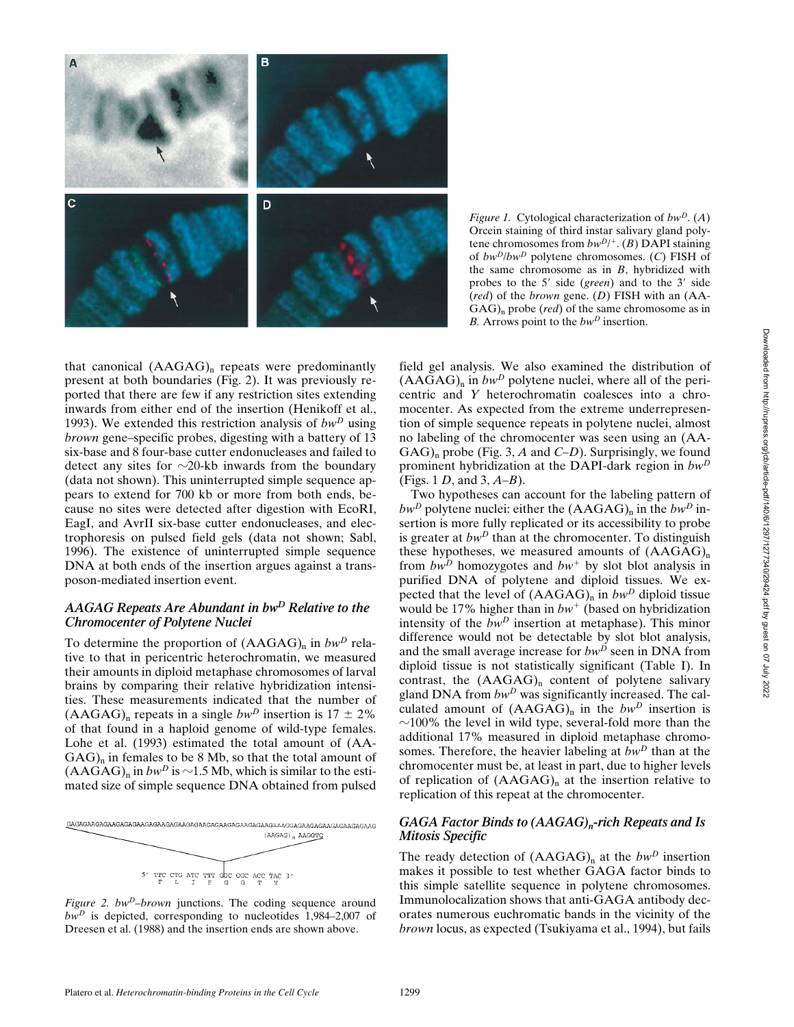

*Figure 1.* Cytological characterization of *bwD*. (*A*) Orcein staining of third instar salivary gland polytene chromosomes from *bwD*/ <sup>1</sup>. (*B*) DAPI staining of *bwD*/*bwD* polytene chromosomes. (*C*) FISH of the same chromosome as in *B*, hybridized with probes to the 5' side (*green*) and to the 3' side (*red*) of the *brown* gene. (*D*) FISH with an (AA- $GAG<sub>n</sub>$  probe (*red*) of the same chromosome as in *B.* Arrows point to the *bwD* insertion.

that canonical  $(AAGAG)$ <sub>n</sub> repeats were predominantly present at both boundaries (Fig. 2). It was previously reported that there are few if any restriction sites extending inwards from either end of the insertion (Henikoff et al., 1993). We extended this restriction analysis of *bwD* using *brown* gene–specific probes, digesting with a battery of 13 six-base and 8 four-base cutter endonucleases and failed to detect any sites for  $\sim$ 20-kb inwards from the boundary (data not shown). This uninterrupted simple sequence appears to extend for 700 kb or more from both ends, because no sites were detected after digestion with EcoRI, EagI, and AvrII six-base cutter endonucleases, and electrophoresis on pulsed field gels (data not shown; Sabl, 1996). The existence of uninterrupted simple sequence DNA at both ends of the insertion argues against a transposon-mediated insertion event.

## *AAGAG Repeats Are Abundant in bwD Relative to the Chromocenter of Polytene Nuclei*

To determine the proportion of  $(AAGAG)$ <sub>n</sub> in  $bw^D$  relative to that in pericentric heterochromatin, we measured their amounts in diploid metaphase chromosomes of larval brains by comparing their relative hybridization intensities. These measurements indicated that the number of  $(AAGAG)$ <sub>n</sub> repeats in a single  $bw<sup>D</sup>$  insertion is 17  $\pm$  2% of that found in a haploid genome of wild-type females. Lohe et al. (1993) estimated the total amount of (AA- $GAG$ <sub>n</sub> in females to be 8 Mb, so that the total amount of  $(AAGAG)_n$  in  $bw^D$  is  $\sim$ 1.5 Mb, which is similar to the estimated size of simple sequence DNA obtained from pulsed



*Figure 2. bwD–brown* junctions. The coding sequence around *bwD* is depicted, corresponding to nucleotides 1,984–2,007 of Dreesen et al. (1988) and the insertion ends are shown above.

field gel analysis. We also examined the distribution of  $(AAGAG)<sub>n</sub>$  in  $bw<sup>D</sup>$  polytene nuclei, where all of the pericentric and *Y* heterochromatin coalesces into a chromocenter. As expected from the extreme underrepresention of simple sequence repeats in polytene nuclei, almost no labeling of the chromocenter was seen using an (AA-GAG)<sub>n</sub> probe (Fig. 3, A and *C–D*). Surprisingly, we found prominent hybridization at the DAPI-dark region in *bwD* (Figs. 1 *D*, and 3, *A–B*).

Two hypotheses can account for the labeling pattern of  $bw^D$  polytene nuclei: either the  $(AAGAG)$ <sub>n</sub> in the  $bw^D$  insertion is more fully replicated or its accessibility to probe is greater at  $bw<sup>D</sup>$  than at the chromocenter. To distinguish these hypotheses, we measured amounts of  $(AAGAG)_{n}$ from  $bw^D$  homozygotes and  $bw^+$  by slot blot analysis in purified DNA of polytene and diploid tissues. We expected that the level of  $(AAGAG)_{n}$  in  $bw^{D}$  diploid tissue would be 17% higher than in  $bw<sup>+</sup>$  (based on hybridization intensity of the *bwD* insertion at metaphase). This minor difference would not be detectable by slot blot analysis, and the small average increase for *bwD* seen in DNA from diploid tissue is not statistically significant (Table I). In contrast, the  $(AAGAG)_{n}$  content of polytene salivary gland DNA from *bwD* was significantly increased. The calculated amount of  $(AAGAG)_{n}$  in the  $bw^{D}$  insertion is  $\sim$ 100% the level in wild type, several-fold more than the additional 17% measured in diploid metaphase chromosomes. Therefore, the heavier labeling at *bwD* than at the chromocenter must be, at least in part, due to higher levels of replication of  $(AAGAG)_{n}$  at the insertion relative to replication of this repeat at the chromocenter.

#### *GAGA Factor Binds to (AAGAG)n-rich Repeats and Is Mitosis Specific*

The ready detection of  $(AAGAG)$ <sub>n</sub> at the  $bw<sup>D</sup>$  insertion makes it possible to test whether GAGA factor binds to this simple satellite sequence in polytene chromosomes. Immunolocalization shows that anti-GAGA antibody decorates numerous euchromatic bands in the vicinity of the *brown* locus, as expected (Tsukiyama et al., 1994), but fails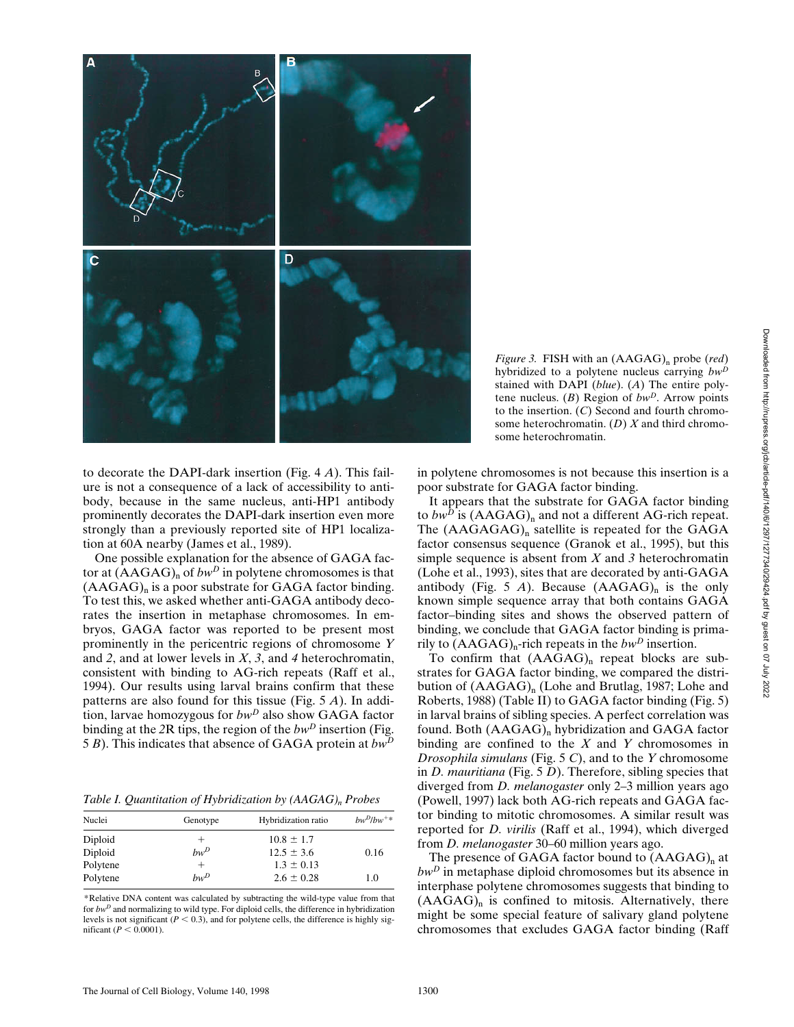

to decorate the DAPI-dark insertion (Fig. 4 *A*). This failure is not a consequence of a lack of accessibility to anti-

body, because in the same nucleus, anti-HP1 antibody prominently decorates the DAPI-dark insertion even more strongly than a previously reported site of HP1 localization at 60A nearby (James et al., 1989).

One possible explanation for the absence of GAGA factor at  $(AAGAG)_n$  of  $bw^D$  in polytene chromosomes is that  $(AAGAG)_n$  is a poor substrate for GAGA factor binding. To test this, we asked whether anti-GAGA antibody decorates the insertion in metaphase chromosomes. In embryos, GAGA factor was reported to be present most prominently in the pericentric regions of chromosome *Y* and *2*, and at lower levels in *X*, *3*, and *4* heterochromatin, consistent with binding to AG-rich repeats (Raff et al., 1994). Our results using larval brains confirm that these patterns are also found for this tissue (Fig. 5 *A*). In addition, larvae homozygous for *bwD* also show GAGA factor binding at the *2*R tips, the region of the *bwD* insertion (Fig. 5 *B*). This indicates that absence of GAGA protein at *bwD*

*Table I. Quantitation of Hybridization by (AAGAG)<sub>n</sub> Probes* 

| Nuclei   | Genotype | Hybridization ratio | $bw^D/bw^{+*}$ |  |
|----------|----------|---------------------|----------------|--|
| Diploid  | $^+$     | $10.8 \pm 1.7$      |                |  |
| Diploid  | $bw^D$   | $12.5 \pm 3.6$      | 0.16           |  |
| Polytene | $^+$     | $1.3 \pm 0.13$      |                |  |
| Polytene | $bw^D$   | $2.6 \pm 0.28$      | 1.0            |  |

\*Relative DNA content was calculated by subtracting the wild-type value from that for *bwD* and normalizing to wild type. For diploid cells, the difference in hybridization levels is not significant ( $P < 0.3$ ), and for polytene cells, the difference is highly significant ( $P < 0.0001$ ).

*Figure 3.* FISH with an (AAGAG)<sub>n</sub> probe (*red*) hybridized to a polytene nucleus carrying *bwD* stained with DAPI (*blue*). (*A*) The entire polytene nucleus. (*B*) Region of *bwD*. Arrow points to the insertion. (*C*) Second and fourth chromosome heterochromatin. (*D*) *X* and third chromosome heterochromatin.

in polytene chromosomes is not because this insertion is a poor substrate for GAGA factor binding.

It appears that the substrate for GAGA factor binding to  $bw^D$  is  $(AAGAG)$ <sub>n</sub> and not a different AG-rich repeat. The  $(AAGAGAG)$ <sub>n</sub> satellite is repeated for the GAGA factor consensus sequence (Granok et al., 1995), but this simple sequence is absent from *X* and *3* heterochromatin (Lohe et al., 1993), sites that are decorated by anti-GAGA antibody (Fig. 5  $A$ ). Because  $(AAGAG)_{n}$  is the only known simple sequence array that both contains GAGA factor–binding sites and shows the observed pattern of binding, we conclude that GAGA factor binding is primarily to  $(AAGAG)_{n}$ -rich repeats in the  $bw^{D}$  insertion.

To confirm that  $(AAGAG)$ <sub>n</sub> repeat blocks are substrates for GAGA factor binding, we compared the distribution of  $(AAGAG)_{n}$  (Lohe and Brutlag, 1987; Lohe and Roberts, 1988) (Table II) to GAGA factor binding (Fig. 5) in larval brains of sibling species. A perfect correlation was found. Both  $(AAGAG)$ <sub>n</sub> hybridization and GAGA factor binding are confined to the *X* and *Y* chromosomes in *Drosophila simulans* (Fig. 5 *C*), and to the *Y* chromosome in *D. mauritiana* (Fig. 5 *D*). Therefore, sibling species that diverged from *D. melanogaster* only 2–3 million years ago (Powell, 1997) lack both AG-rich repeats and GAGA factor binding to mitotic chromosomes. A similar result was reported for *D. virilis* (Raff et al., 1994), which diverged from *D. melanogaster* 30–60 million years ago.

The presence of GAGA factor bound to  $(AAGAG)_{n}$  at *bwD* in metaphase diploid chromosomes but its absence in interphase polytene chromosomes suggests that binding to  $(AAGAG)$ <sub>n</sub> is confined to mitosis. Alternatively, there might be some special feature of salivary gland polytene chromosomes that excludes GAGA factor binding (Raff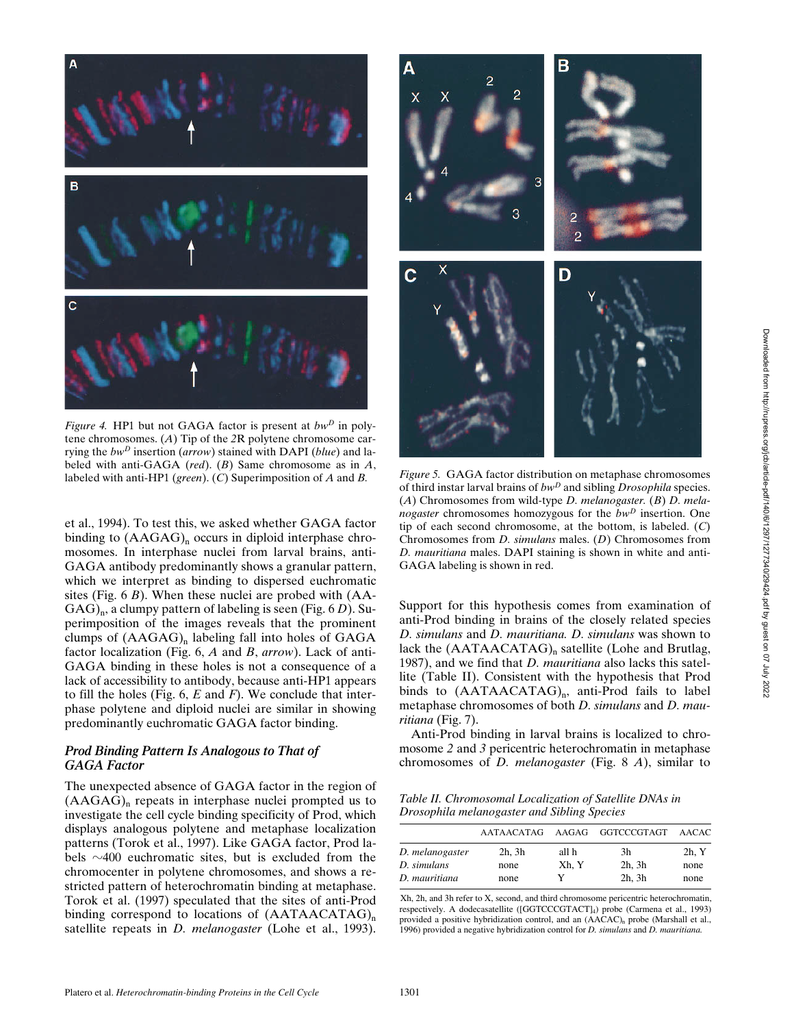

*Figure 4.* HP1 but not GAGA factor is present at *bwD* in polytene chromosomes. (*A*) Tip of the *2*R polytene chromosome carrying the *bwD* insertion (*arrow*) stained with DAPI (*blue*) and labeled with anti-GAGA (*red*). (*B*) Same chromosome as in *A*,

et al., 1994). To test this, we asked whether GAGA factor binding to  $(AAGAG)$ <sub>n</sub> occurs in diploid interphase chromosomes. In interphase nuclei from larval brains, anti-GAGA antibody predominantly shows a granular pattern, which we interpret as binding to dispersed euchromatic sites (Fig. 6 *B*). When these nuclei are probed with (AA-GAG)<sub>n</sub>, a clumpy pattern of labeling is seen (Fig. 6 *D*). Superimposition of the images reveals that the prominent clumps of  $(AAGAG)_{n}$  labeling fall into holes of GAGA factor localization (Fig. 6, *A* and *B*, *arrow*). Lack of anti-GAGA binding in these holes is not a consequence of a lack of accessibility to antibody, because anti-HP1 appears to fill the holes (Fig. 6, *E* and *F*). We conclude that interphase polytene and diploid nuclei are similar in showing predominantly euchromatic GAGA factor binding.

#### *Prod Binding Pattern Is Analogous to That of GAGA Factor*

The unexpected absence of GAGA factor in the region of  $(AAGAG)$ <sub>n</sub> repeats in interphase nuclei prompted us to investigate the cell cycle binding specificity of Prod, which displays analogous polytene and metaphase localization patterns (Torok et al., 1997). Like GAGA factor, Prod labels  $\sim$ 400 euchromatic sites, but is excluded from the chromocenter in polytene chromosomes, and shows a restricted pattern of heterochromatin binding at metaphase. Torok et al. (1997) speculated that the sites of anti-Prod binding correspond to locations of  $(AATAACATAG)_{n}$ satellite repeats in *D. melanogaster* (Lohe et al., 1993).



labeled with anti-HP1 (*green*). (*C*) Superimposition of *A* and *B. Figure 5.* GAGA factor distribution on metaphase chromosomes of third instar larval brains of *bwD* and sibling *Drosophila* species. (*A*) Chromosomes from wild-type *D. melanogaster.* (*B*) *D. melanogaster* chromosomes homozygous for the *bwD* insertion. One tip of each second chromosome, at the bottom, is labeled. (*C*) Chromosomes from *D. simulans* males. (*D*) Chromosomes from *D. mauritiana* males. DAPI staining is shown in white and anti-GAGA labeling is shown in red.

Support for this hypothesis comes from examination of anti-Prod binding in brains of the closely related species *D. simulans* and *D. mauritiana. D. simulans* was shown to lack the  $(AATAACATAG)<sub>n</sub>$  satellite (Lohe and Brutlag, 1987), and we find that *D. mauritiana* also lacks this satellite (Table II). Consistent with the hypothesis that Prod binds to  $(AATAACATAG)_{n}$ , anti-Prod fails to label metaphase chromosomes of both *D. simulans* and *D. mauritiana* (Fig. 7).

Anti-Prod binding in larval brains is localized to chromosome *2* and *3* pericentric heterochromatin in metaphase chromosomes of *D. melanogaster* (Fig. 8 *A*), similar to

*Table II. Chromosomal Localization of Satellite DNAs in Drosophila melanogaster and Sibling Species*

|                 | AATAACATAG |       | AAGAG GGTCCCGTAGT | AACAC |
|-----------------|------------|-------|-------------------|-------|
| D. melanogaster | 2h.3h      | all h | 3h                | 2h, Y |
| D. simulans     | none       | Xh. Y | 2h.3h             | none  |
| D. mauritiana   | none       | Y     | 2h.3h             | none  |
|                 |            |       |                   |       |

Xh, 2h, and 3h refer to X, second, and third chromosome pericentric heterochromatin, respectively. A dodecasatellite ([GGTCCCGTACT]4) probe (Carmena et al., 1993) provided a positive hybridization control, and an (AACAC)<sub>n</sub> probe (Marshall et al., 1996) provided a negative hybridization control for *D. simulans* and *D. mauritiana.*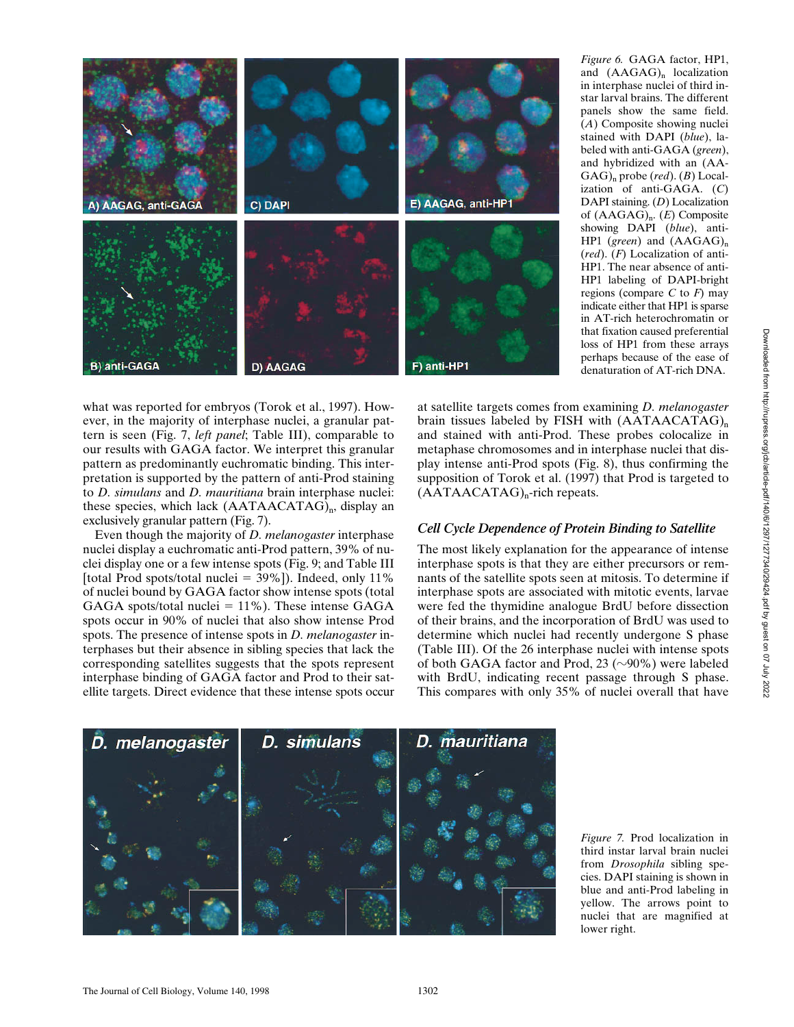

*Figure 6.* GAGA factor, HP1, and  $(AAGAG)$ <sub>n</sub> localization in interphase nuclei of third instar larval brains. The different panels show the same field. (*A*) Composite showing nuclei stained with DAPI (*blue*), labeled with anti-GAGA (*green*), and hybridized with an (AA-GAG)n probe (*red*). (*B*) Localization of anti-GAGA. (*C*) DAPI staining. (*D*) Localization of (AAGAG)n. (*E*) Composite showing DAPI (*blue*), anti-HP1 (*green*) and  $(AAGAG)_{n}$ (*red*). (*F*) Localization of anti-HP1. The near absence of anti-HP1 labeling of DAPI-bright regions (compare *C* to *F*) may indicate either that HP1 is sparse in AT-rich heterochromatin or that fixation caused preferential loss of HP1 from these arrays perhaps because of the ease of denaturation of AT-rich DNA.

what was reported for embryos (Torok et al., 1997). However, in the majority of interphase nuclei, a granular pattern is seen (Fig. 7, *left panel*; Table III), comparable to our results with GAGA factor. We interpret this granular pattern as predominantly euchromatic binding. This interpretation is supported by the pattern of anti-Prod staining to *D. simulans* and *D. mauritiana* brain interphase nuclei: these species, which lack  $(AATAACATAG)$ <sub>n</sub>, display an exclusively granular pattern (Fig. 7).

Even though the majority of *D. melanogaster* interphase nuclei display a euchromatic anti-Prod pattern, 39% of nuclei display one or a few intense spots (Fig. 9; and Table III [total Prod spots/total nuclei =  $39\%$ ]). Indeed, only 11% of nuclei bound by GAGA factor show intense spots (total GAGA spots/total nuclei =  $11\%$ ). These intense GAGA spots occur in 90% of nuclei that also show intense Prod spots. The presence of intense spots in *D. melanogaster* interphases but their absence in sibling species that lack the corresponding satellites suggests that the spots represent interphase binding of GAGA factor and Prod to their satellite targets. Direct evidence that these intense spots occur

at satellite targets comes from examining *D. melanogaster* brain tissues labeled by FISH with  $(AATAACATAG)_{n}$ and stained with anti-Prod. These probes colocalize in metaphase chromosomes and in interphase nuclei that display intense anti-Prod spots (Fig. 8), thus confirming the supposition of Torok et al. (1997) that Prod is targeted to  $(AATAACATAG)$ <sub>n</sub>-rich repeats.

## *Cell Cycle Dependence of Protein Binding to Satellite*

The most likely explanation for the appearance of intense interphase spots is that they are either precursors or remnants of the satellite spots seen at mitosis. To determine if interphase spots are associated with mitotic events, larvae were fed the thymidine analogue BrdU before dissection of their brains, and the incorporation of BrdU was used to determine which nuclei had recently undergone S phase (Table III). Of the 26 interphase nuclei with intense spots of both GAGA factor and Prod, 23 ( $\sim$ 90%) were labeled with BrdU, indicating recent passage through S phase. This compares with only 35% of nuclei overall that have



*Figure 7.* Prod localization in third instar larval brain nuclei from *Drosophila* sibling species. DAPI staining is shown in blue and anti-Prod labeling in yellow. The arrows point to nuclei that are magnified at lower right.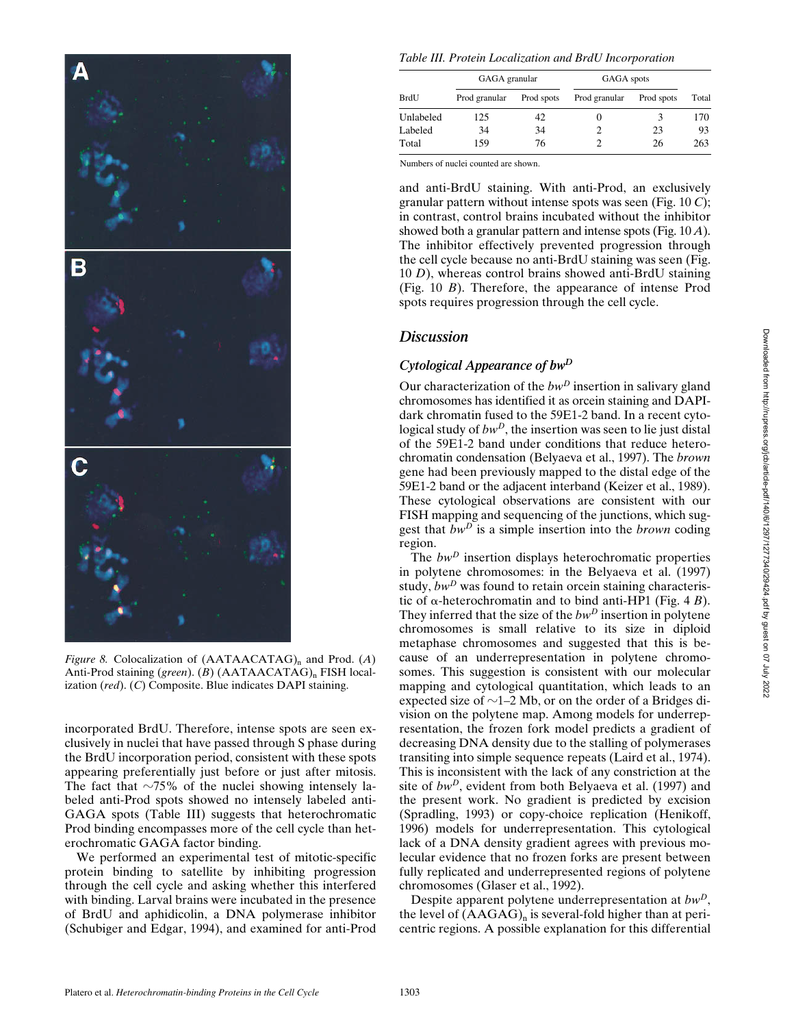

*Figure 8.* Colocalization of  $(AATAACATAG)$ <sub>n</sub> and Prod.  $(A)$ Anti-Prod staining (*green*). (*B*) (AATAACATAG)<sub>n</sub> FISH localization (*red*). (*C*) Composite. Blue indicates DAPI staining.

incorporated BrdU. Therefore, intense spots are seen exclusively in nuclei that have passed through S phase during the BrdU incorporation period, consistent with these spots appearing preferentially just before or just after mitosis. The fact that  $\sim$ 75% of the nuclei showing intensely labeled anti-Prod spots showed no intensely labeled anti-GAGA spots (Table III) suggests that heterochromatic Prod binding encompasses more of the cell cycle than heterochromatic GAGA factor binding.

We performed an experimental test of mitotic-specific protein binding to satellite by inhibiting progression through the cell cycle and asking whether this interfered with binding. Larval brains were incubated in the presence of BrdU and aphidicolin, a DNA polymerase inhibitor (Schubiger and Edgar, 1994), and examined for anti-Prod

*Table III. Protein Localization and BrdU Incorporation*

| BrdU      | GAGA granular |            | <b>GAGA</b> spots |            |       |
|-----------|---------------|------------|-------------------|------------|-------|
|           | Prod granular | Prod spots | Prod granular     | Prod spots | Total |
| Unlabeled | 125           | 42         | O                 | 3          | 170   |
| Labeled   | 34            | 34         |                   | 23         | 93    |
| Total     | 159           | 76         |                   | 26         | 263   |

Numbers of nuclei counted are shown.

and anti-BrdU staining. With anti-Prod, an exclusively granular pattern without intense spots was seen (Fig. 10 *C*); in contrast, control brains incubated without the inhibitor showed both a granular pattern and intense spots (Fig. 10 *A*). The inhibitor effectively prevented progression through the cell cycle because no anti-BrdU staining was seen (Fig. 10 *D*), whereas control brains showed anti-BrdU staining (Fig. 10 *B*). Therefore, the appearance of intense Prod spots requires progression through the cell cycle.

## *Discussion*

## *Cytological Appearance of bwD*

Our characterization of the  $bw<sup>D</sup>$  insertion in salivary gland chromosomes has identified it as orcein staining and DAPIdark chromatin fused to the 59E1-2 band. In a recent cytological study of  $bw<sup>D</sup>$ , the insertion was seen to lie just distal of the 59E1-2 band under conditions that reduce heterochromatin condensation (Belyaeva et al., 1997). The *brown* gene had been previously mapped to the distal edge of the 59E1-2 band or the adjacent interband (Keizer et al., 1989). These cytological observations are consistent with our FISH mapping and sequencing of the junctions, which suggest that *bwD* is a simple insertion into the *brown* coding region.

The *bw<sup>D</sup>* insertion displays heterochromatic properties in polytene chromosomes: in the Belyaeva et al. (1997) study,  $bw^D$  was found to retain orcein staining characteristic of  $\alpha$ -heterochromatin and to bind anti-HP1 (Fig. 4 *B*). They inferred that the size of the *bwD* insertion in polytene chromosomes is small relative to its size in diploid metaphase chromosomes and suggested that this is because of an underrepresentation in polytene chromosomes. This suggestion is consistent with our molecular mapping and cytological quantitation, which leads to an expected size of  $\sim$ 1–2 Mb, or on the order of a Bridges division on the polytene map. Among models for underrepresentation, the frozen fork model predicts a gradient of decreasing DNA density due to the stalling of polymerases transiting into simple sequence repeats (Laird et al., 1974). This is inconsistent with the lack of any constriction at the site of  $bw$ <sup>D</sup>, evident from both Belyaeva et al. (1997) and the present work. No gradient is predicted by excision (Spradling, 1993) or copy-choice replication (Henikoff, 1996) models for underrepresentation. This cytological lack of a DNA density gradient agrees with previous molecular evidence that no frozen forks are present between fully replicated and underrepresented regions of polytene chromosomes (Glaser et al., 1992).

Despite apparent polytene underrepresentation at *bwD*, the level of  $(AAGAG)_n$  is several-fold higher than at pericentric regions. A possible explanation for this differential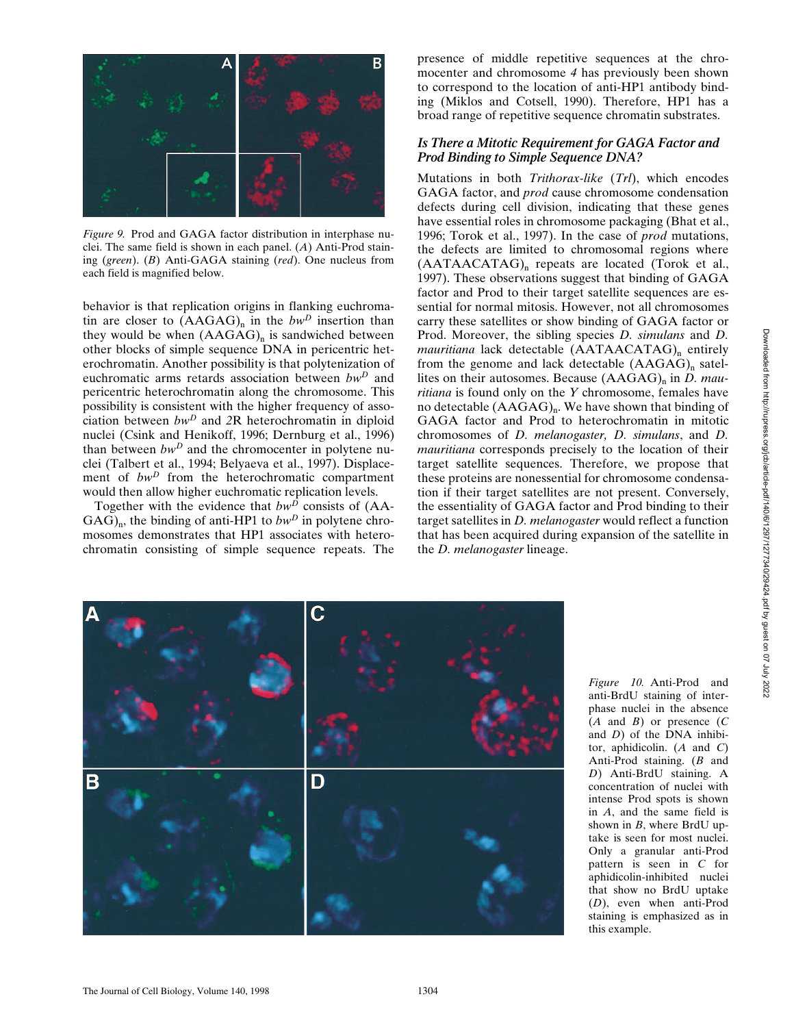

*Figure 9.* Prod and GAGA factor distribution in interphase nuclei. The same field is shown in each panel. (*A*) Anti-Prod staining (*green*). (*B*) Anti-GAGA staining (*red*). One nucleus from each field is magnified below.

behavior is that replication origins in flanking euchromatin are closer to  $(AAGAG)_{n}$  in the  $bw^{D}$  insertion than they would be when  $(AAGAG)_n$  is sandwiched between other blocks of simple sequence DNA in pericentric heterochromatin. Another possibility is that polytenization of euchromatic arms retards association between *bwD* and pericentric heterochromatin along the chromosome. This possibility is consistent with the higher frequency of association between *bwD* and *2*R heterochromatin in diploid nuclei (Csink and Henikoff, 1996; Dernburg et al., 1996) than between *bwD* and the chromocenter in polytene nuclei (Talbert et al., 1994; Belyaeva et al., 1997). Displacement of *bwD* from the heterochromatic compartment would then allow higher euchromatic replication levels.

Together with the evidence that  $bw^{\tilde{D}}$  consists of (AA- $GAG$ <sub>n</sub>, the binding of anti-HP1 to  $bw<sup>D</sup>$  in polytene chromosomes demonstrates that HP1 associates with heterochromatin consisting of simple sequence repeats. The presence of middle repetitive sequences at the chromocenter and chromosome *4* has previously been shown to correspond to the location of anti-HP1 antibody binding (Miklos and Cotsell, 1990). Therefore, HP1 has a broad range of repetitive sequence chromatin substrates.

## *Is There a Mitotic Requirement for GAGA Factor and Prod Binding to Simple Sequence DNA?*

Mutations in both *Trithorax-like* (*Trl*), which encodes GAGA factor, and *prod* cause chromosome condensation defects during cell division, indicating that these genes have essential roles in chromosome packaging (Bhat et al., 1996; Torok et al., 1997). In the case of *prod* mutations, the defects are limited to chromosomal regions where  $(AATAACATAG)$ <sub>n</sub> repeats are located (Torok et al., 1997). These observations suggest that binding of GAGA factor and Prod to their target satellite sequences are essential for normal mitosis. However, not all chromosomes carry these satellites or show binding of GAGA factor or Prod. Moreover, the sibling species *D. simulans* and *D. mauritiana* lack detectable (AATAACATAG)<sub>n</sub> entirely from the genome and lack detectable  $(AAGAG)_{n}$  satellites on their autosomes. Because (AAGAG)<sub>n</sub> in *D. mauritiana* is found only on the *Y* chromosome, females have no detectable  $(AAGAG)_{n}$ . We have shown that binding of GAGA factor and Prod to heterochromatin in mitotic chromosomes of *D. melanogaster, D. simulans*, and *D. mauritiana* corresponds precisely to the location of their target satellite sequences. Therefore, we propose that these proteins are nonessential for chromosome condensation if their target satellites are not present. Conversely, the essentiality of GAGA factor and Prod binding to their target satellites in *D. melanogaster* would reflect a function that has been acquired during expansion of the satellite in the *D. melanogaster* lineage.



*Figure 10.* Anti-Prod and anti-BrdU staining of interphase nuclei in the absence (*A* and *B*) or presence (*C* and *D*) of the DNA inhibitor, aphidicolin. (*A* and *C*) Anti-Prod staining. (*B* and *D*) Anti-BrdU staining. A concentration of nuclei with intense Prod spots is shown in *A*, and the same field is shown in *B*, where BrdU uptake is seen for most nuclei. Only a granular anti-Prod pattern is seen in *C* for aphidicolin-inhibited nuclei that show no BrdU uptake (*D*), even when anti-Prod staining is emphasized as in this example.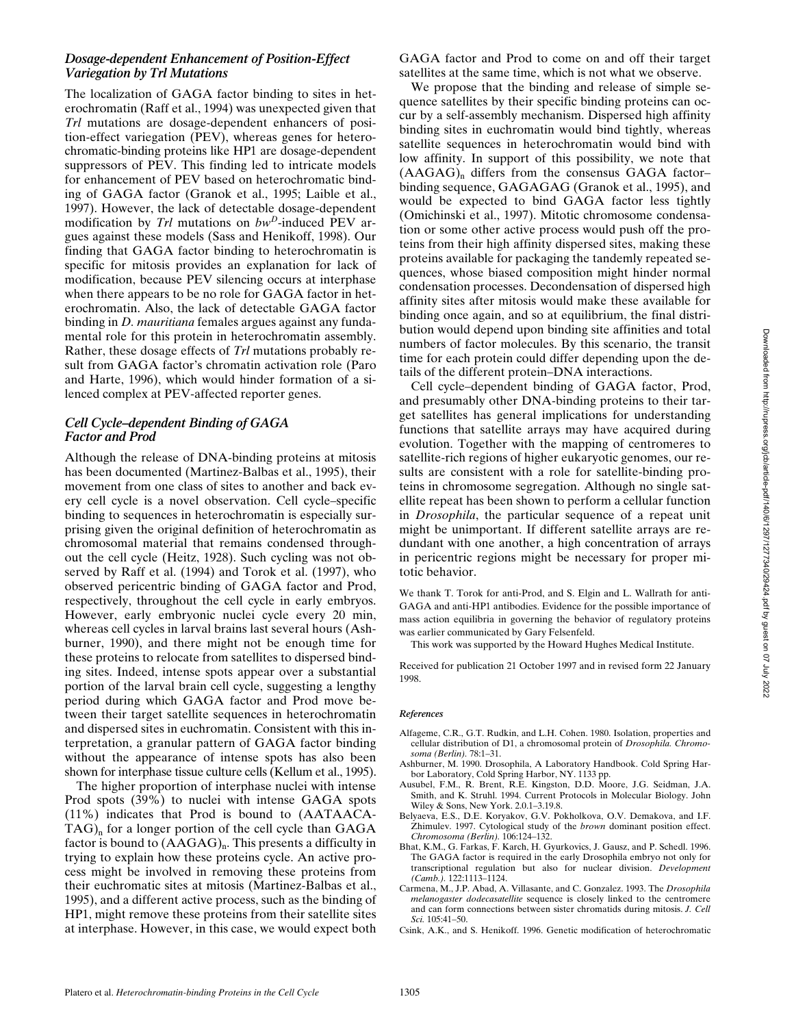## *Dosage-dependent Enhancement of Position-Effect Variegation by Trl Mutations*

The localization of GAGA factor binding to sites in heterochromatin (Raff et al., 1994) was unexpected given that *Trl* mutations are dosage-dependent enhancers of position-effect variegation (PEV), whereas genes for heterochromatic-binding proteins like HP1 are dosage-dependent suppressors of PEV. This finding led to intricate models for enhancement of PEV based on heterochromatic binding of GAGA factor (Granok et al., 1995; Laible et al., 1997). However, the lack of detectable dosage-dependent modification by *Trl* mutations on *bwD*-induced PEV argues against these models (Sass and Henikoff, 1998). Our finding that GAGA factor binding to heterochromatin is specific for mitosis provides an explanation for lack of modification, because PEV silencing occurs at interphase when there appears to be no role for GAGA factor in heterochromatin. Also, the lack of detectable GAGA factor binding in *D. mauritiana* females argues against any fundamental role for this protein in heterochromatin assembly. Rather, these dosage effects of *Trl* mutations probably result from GAGA factor's chromatin activation role (Paro and Harte, 1996), which would hinder formation of a silenced complex at PEV-affected reporter genes.

## *Cell Cycle–dependent Binding of GAGA Factor and Prod*

Although the release of DNA-binding proteins at mitosis has been documented (Martinez-Balbas et al., 1995), their movement from one class of sites to another and back every cell cycle is a novel observation. Cell cycle–specific binding to sequences in heterochromatin is especially surprising given the original definition of heterochromatin as chromosomal material that remains condensed throughout the cell cycle (Heitz, 1928). Such cycling was not observed by Raff et al. (1994) and Torok et al. (1997), who observed pericentric binding of GAGA factor and Prod, respectively, throughout the cell cycle in early embryos. However, early embryonic nuclei cycle every 20 min, whereas cell cycles in larval brains last several hours (Ashburner, 1990), and there might not be enough time for these proteins to relocate from satellites to dispersed binding sites. Indeed, intense spots appear over a substantial portion of the larval brain cell cycle, suggesting a lengthy period during which GAGA factor and Prod move between their target satellite sequences in heterochromatin and dispersed sites in euchromatin. Consistent with this interpretation, a granular pattern of GAGA factor binding without the appearance of intense spots has also been shown for interphase tissue culture cells (Kellum et al., 1995).

The higher proportion of interphase nuclei with intense Prod spots (39%) to nuclei with intense GAGA spots (11%) indicates that Prod is bound to (AATAACA- $TAG$ <sub>n</sub> for a longer portion of the cell cycle than GAGA factor is bound to  $(AAGAG)_{n}$ . This presents a difficulty in trying to explain how these proteins cycle. An active process might be involved in removing these proteins from their euchromatic sites at mitosis (Martinez-Balbas et al., 1995), and a different active process, such as the binding of HP1, might remove these proteins from their satellite sites at interphase. However, in this case, we would expect both

GAGA factor and Prod to come on and off their target satellites at the same time, which is not what we observe.

We propose that the binding and release of simple sequence satellites by their specific binding proteins can occur by a self-assembly mechanism. Dispersed high affinity binding sites in euchromatin would bind tightly, whereas satellite sequences in heterochromatin would bind with low affinity. In support of this possibility, we note that  $(AAGAG)$ <sub>n</sub> differs from the consensus GAGA factorbinding sequence, GAGAGAG (Granok et al., 1995), and would be expected to bind GAGA factor less tightly (Omichinski et al., 1997). Mitotic chromosome condensation or some other active process would push off the proteins from their high affinity dispersed sites, making these proteins available for packaging the tandemly repeated sequences, whose biased composition might hinder normal condensation processes. Decondensation of dispersed high affinity sites after mitosis would make these available for binding once again, and so at equilibrium, the final distribution would depend upon binding site affinities and total numbers of factor molecules. By this scenario, the transit time for each protein could differ depending upon the details of the different protein–DNA interactions.

Cell cycle–dependent binding of GAGA factor, Prod, and presumably other DNA-binding proteins to their target satellites has general implications for understanding functions that satellite arrays may have acquired during evolution. Together with the mapping of centromeres to satellite-rich regions of higher eukaryotic genomes, our results are consistent with a role for satellite-binding proteins in chromosome segregation. Although no single satellite repeat has been shown to perform a cellular function in *Drosophila*, the particular sequence of a repeat unit might be unimportant. If different satellite arrays are redundant with one another, a high concentration of arrays in pericentric regions might be necessary for proper mitotic behavior.

We thank T. Torok for anti-Prod, and S. Elgin and L. Wallrath for anti-GAGA and anti-HP1 antibodies. Evidence for the possible importance of mass action equilibria in governing the behavior of regulatory proteins was earlier communicated by Gary Felsenfeld.

This work was supported by the Howard Hughes Medical Institute.

Received for publication 21 October 1997 and in revised form 22 January 1998.

#### *References*

- Alfageme, C.R., G.T. Rudkin, and L.H. Cohen. 1980. Isolation, properties and cellular distribution of D1, a chromosomal protein of *Drosophila. Chromosoma (Berlin).* 78:1–31.
- Ashburner, M. 1990. Drosophila, A Laboratory Handbook. Cold Spring Harbor Laboratory, Cold Spring Harbor, NY. 1133 pp.
- Ausubel, F.M., R. Brent, R.E. Kingston, D.D. Moore, J.G. Seidman, J.A. Smith, and K. Struhl. 1994. Current Protocols in Molecular Biology. John Wiley & Sons, New York. 2.0.1–3.19.8.
- Belyaeva, E.S., D.E. Koryakov, G.V. Pokholkova, O.V. Demakova, and I.F. Zhimulev. 1997. Cytological study of the *brown* dominant position effect. *Chromosoma (Berlin).* 106:124–132.
- Bhat, K.M., G. Farkas, F. Karch, H. Gyurkovics, J. Gausz, and P. Schedl. 1996. The GAGA factor is required in the early Drosophila embryo not only for transcriptional regulation but also for nuclear division. *Development (Camb.).* 122:1113–1124.
- Carmena, M., J.P. Abad, A. Villasante, and C. Gonzalez. 1993. The *Drosophila melanogaster dodecasatellite* sequence is closely linked to the centromere and can form connections between sister chromatids during mitosis. *J. Cell Sci.* 105:41–50.
- Csink, A.K., and S. Henikoff. 1996. Genetic modification of heterochromatic